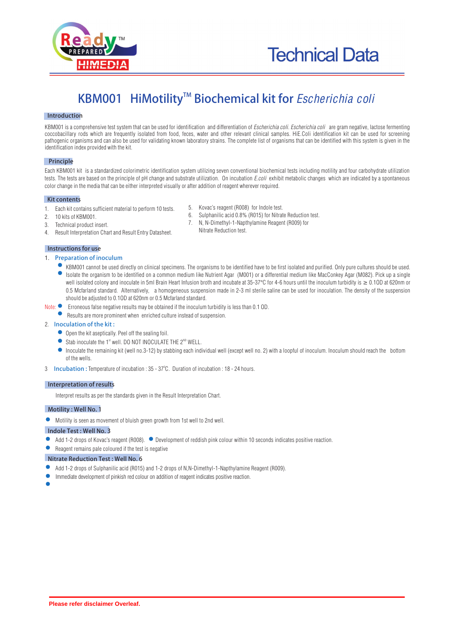

# **TM KBM001 HiMotility Biochemical kit for** *Escherichia coli*

## **Introduction**

KBM001 is a comprehensive test system that can be used for identification and differentiation of *Escherichia coli. Escherichia coli* are gram negative, lactose fermenting coccobacillary rods which are frequently isolated from food, feces, water and other relevant clinical samples. HiE.Coli identification kit can be used for screening pathogenic organisms and can also be used for validating known laboratory strains. The complete list of organisms that can be identified with this system is given in the identification index provided with the kit.

## **Principle**

Each KBM001 kit is a standardized colorimetric identification system utilizing seven conventional biochemical tests including motility and four carbohydrate utilization tests. The tests are based on the principle of pH change and substrate utilization. On incubation *E.coli* exhibit metabolic changes which are indicated by a spontaneous color change in the media that can be either interpreted visually or after addition of reagent wherever required.

## **Kit contents**

- 1. Each kit contains sufficient material to perform 10 tests.
- 2. 10 kits of KBM001.<br>3. Technical product in
- Technical product insert.
- 4. Result Interpretation Chart and Result Entry Datasheet.

## **Instructions for use**

- 1. **Preparation of inoculum** 
	- KBM001 cannot be used directly on clinical specimens. The organisms to be identified have to be first isolated and purified. Only pure cultures should be used. Isolate the organism to be identified on a common medium like Nutrient Agar (M001) or a differential medium like MacConkey Agar (M082). Pick up a single well isolated colony and inoculate in 5ml Brain Heart Infusion broth and incubate at 35-37°C for 4-6 hours until the inoculum turbidity is  $\geq 0.10D$  at 620nm or 0.5 Mcfarland standard. Alternatively, a homogeneous suspension made in 2-3 ml sterile saline can be used for inoculation. The density of the suspension should be adjusted to 0.1OD at 620nm or 0.5 Mcfarland standard.
- Note:  $\bullet$  Erroneous false negative results may be obtained if the inoculum turbidity is less than 0.1 OD.
	- **•** Results are more prominent when enriched culture instead of suspension.
- 2. **Inoculation of the kit :** 
	- Open the kit aseptically. Peel off the sealing foil.
	- Stab inoculate the  $1<sup>st</sup>$  well. DO NOT INOCULATE THE  $2<sup>ND</sup>$  WELL.
	- Inoculate the remaining kit (well no.3-12) by stabbing each individual well (except well no. 2) with a loopful of inoculum. Inoculum should reach the bottom of the wells.
- 3 **Incubation :** Temperature of incubation : 35 37<sup>o</sup>C. Duration of incubation : 18 24 hours.

## **Interpretation of results**

Interpret results as per the standards given in the Result Interpretation Chart.

## **Motility : Well No. 1**

Motility is seen as movement of bluish green growth from 1st well to 2nd well.

#### **Indole Test : Well No. 3**

- Add 1-2 drops of Kovac's reagent (R008).  $\bullet$  Development of reddish pink colour within 10 seconds indicates positive reaction.
- $\bullet$ Reagent remains pale coloured if the test is negative

## **Nitrate Reduction Test : Well No. 6**

- Add 1-2 drops of Sulphanilic acid (R015) and 1-2 drops of N,N-Dimethyl-1-Napthylamine Reagent (R009).
- Immediate development of pinkish red colour on addition of reagent indicates positive reaction.
- 
- 5. Kovac's reagent (R008) for Indole test.
- 6. Sulphanilic acid 0.8% (R015) for Nitrate Reduction test.<br>7. N. N-Dimethyl-1-Napthylamine Reagent (R009) for
	- N, N-Dimethyl-1-Napthylamine Reagent (R009) for Nitrate Reduction test.